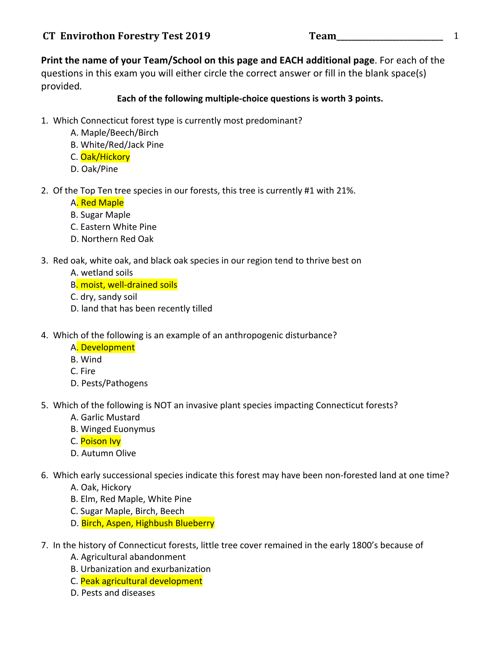**Print the name of your Team/School on this page and EACH additional page.** For each of the questions in this exam you will either circle the correct answer or fill in the blank space(s) provided*.*

### Each of the following multiple-choice questions is worth 3 points.

- 1. Which Connecticut forest type is currently most predominant?
	- A. Maple/Beech/Birch
	- B. White/Red/Jack Pine
	- C. Oak/Hickory
	- D. Oak/Pine
- 2. Of the Top Ten tree species in our forests, this tree is currently #1 with 21%.

### A. Red Maple

- B. Sugar Maple
- C. Eastern White Pine
- D. Northern Red Oak
- 3. Red oak, white oak, and black oak species in our region tend to thrive best on
	- A. wetland soils
	- B. moist, well-drained soils
	- C. dry, sandy soil
	- D. land that has been recently tilled
- 4. Which of the following is an example of an anthropogenic disturbance?
	- A. Development
	- B. Wind
	- C. Fire
	- D. Pests/Pathogens
- 5. Which of the following is NOT an invasive plant species impacting Connecticut forests?
	- A. Garlic Mustard
	- B. Winged Euonymus
	- C. Poison Ivy
	- D. Autumn Olive
- 6. Which early successional species indicate this forest may have been non-forested land at one time?
	- A. Oak, Hickory
	- B. Elm, Red Maple, White Pine
	- C. Sugar Maple, Birch, Beech
	- D. Birch, Aspen, Highbush Blueberry
- 7. In the history of Connecticut forests, little tree cover remained in the early 1800's because of
	- A. Agricultural abandonment
	- B. Urbanization and exurbanization
	- C. Peak agricultural development
	- D. Pests and diseases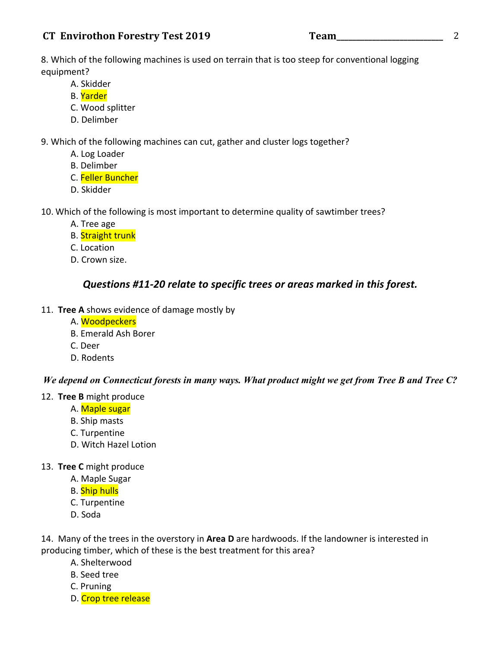# **CT Envirothon Forestry Test 2019 Team\_\_\_\_\_\_\_\_\_\_\_\_\_\_\_\_\_\_\_\_\_\_\_\_\_\_\_** 2

8. Which of the following machines is used on terrain that is too steep for conventional logging equipment?

- A. Skidder
- B. Yarder
- C. Wood splitter
- D. Delimber

9. Which of the following machines can cut, gather and cluster logs together?

- A. Log Loader
- B. Delimber
- C. Feller Buncher
- D. Skidder

10. Which of the following is most important to determine quality of sawtimber trees?

- A. Tree age
- B. Straight trunk
- C. Location
- D. Crown size.

# *Questions #11-20 relate to specific trees or areas marked in this forest.*

- 11. Tree A shows evidence of damage mostly by
	- A. Woodpeckers
	- B. Emerald Ash Borer
	- C. Deer
	- D. Rodents

### *We depend on Connecticut forests in many ways. What product might we get from Tree B and Tree C?*

### 12. **Tree B** might produce

- A. Maple sugar
- B. Ship masts
- C. Turpentine
- D. Witch Hazel Lotion

### 13. **Tree C** might produce

- A. Maple Sugar
- B. Ship hulls
- C. Turpentine
- D. Soda

14. Many of the trees in the overstory in Area D are hardwoods. If the landowner is interested in producing timber, which of these is the best treatment for this area?

- A. Shelterwood
- B. Seed tree
- C. Pruning
- D. Crop tree release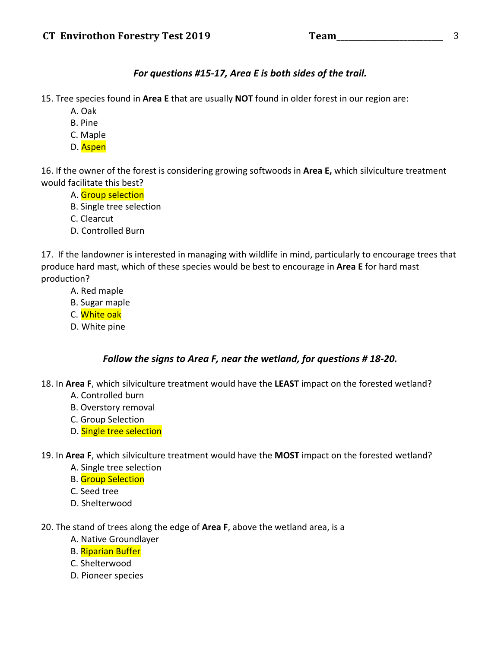# For questions #15-17, Area E is both sides of the trail.

15. Tree species found in Area E that are usually NOT found in older forest in our region are:

- A. Oak
- B. Pine
- C. Maple
- D. Aspen

16. If the owner of the forest is considering growing softwoods in Area E, which silviculture treatment would facilitate this best?

- A. Group selection
- B. Single tree selection
- C. Clearcut
- D. Controlled Burn

17. If the landowner is interested in managing with wildlife in mind, particularly to encourage trees that produce hard mast, which of these species would be best to encourage in Area E for hard mast production? 

- A. Red maple
- B. Sugar maple
- C. White oak
- D. White pine

# *Follow the signs to Area F, near the wetland, for questions # 18-20.*

18. In Area F, which silviculture treatment would have the LEAST impact on the forested wetland?

- A. Controlled burn
- B. Overstory removal
- C. Group Selection
- D. Single tree selection

19. In Area F, which silviculture treatment would have the MOST impact on the forested wetland?

- A. Single tree selection
- **B.** Group Selection
- C. Seed tree
- D. Shelterwood
- 20. The stand of trees along the edge of **Area F**, above the wetland area, is a
	- A. Native Groundlayer
	- B. Riparian Buffer
	- C. Shelterwood
	- D. Pioneer species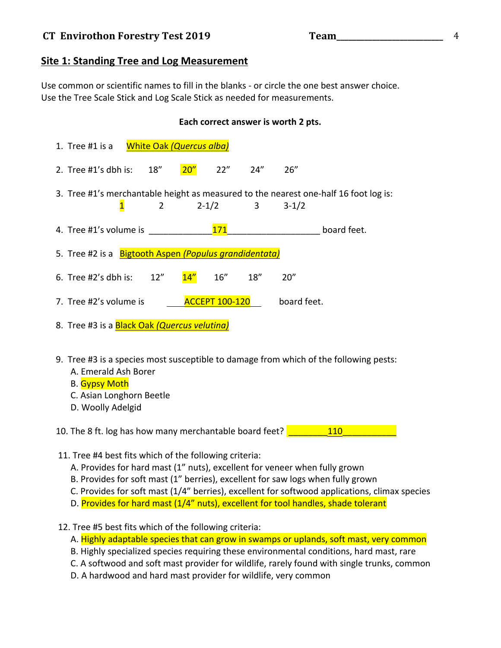# **Site 1: Standing Tree and Log Measurement**

Use common or scientific names to fill in the blanks - or circle the one best answer choice. Use the Tree Scale Stick and Log Scale Stick as needed for measurements.

### Each correct answer is worth 2 pts.

|                                                                                                                                      | <b>White Oak (Quercus alba)</b><br>1. Tree $#1$ is a                                                                                                                            |  |  |  |
|--------------------------------------------------------------------------------------------------------------------------------------|---------------------------------------------------------------------------------------------------------------------------------------------------------------------------------|--|--|--|
|                                                                                                                                      | 20''<br>22"<br>18"<br>24''<br>26''<br>2. Tree #1's dbh is:                                                                                                                      |  |  |  |
|                                                                                                                                      | 3. Tree #1's merchantable height as measured to the nearest one-half 16 foot log is:<br>$2 - 1/2$<br>$3 - 1/2$<br>$\overline{2}$<br>3<br>$\mathbf{1}$                           |  |  |  |
|                                                                                                                                      | 171<br>4. Tree #1's volume is<br>board feet.                                                                                                                                    |  |  |  |
|                                                                                                                                      | 5. Tree #2 is a Bigtooth Aspen (Populus grandidentata)                                                                                                                          |  |  |  |
|                                                                                                                                      | 14"<br>16"<br>18''<br>6. Tree #2's dbh is:<br>12"<br>20''                                                                                                                       |  |  |  |
|                                                                                                                                      | <b>ACCEPT 100-120</b><br>7. Tree #2's volume is<br>board feet.                                                                                                                  |  |  |  |
|                                                                                                                                      | 8. Tree #3 is a Black Oak (Quercus velutina)                                                                                                                                    |  |  |  |
|                                                                                                                                      | 9. Tree #3 is a species most susceptible to damage from which of the following pests:<br>A. Emerald Ash Borer<br>B. Gypsy Moth<br>C. Asian Longhorn Beetle<br>D. Woolly Adelgid |  |  |  |
| <b>110</b><br>10. The 8 ft. log has how many merchantable board feet?                                                                |                                                                                                                                                                                 |  |  |  |
| 11. Tree #4 best fits which of the following criteria:<br>A. Provides for hard mast (1" nuts), excellent for veneer when fully grown |                                                                                                                                                                                 |  |  |  |

- B. Provides for soft mast (1" berries), excellent for saw logs when fully grown
- C. Provides for soft mast  $(1/4"$  berries), excellent for softwood applications, climax species
- D. Provides for hard mast (1/4" nuts), excellent for tool handles, shade tolerant
- 12. Tree #5 best fits which of the following criteria:
	- A. Highly adaptable species that can grow in swamps or uplands, soft mast, very common
	- B. Highly specialized species requiring these environmental conditions, hard mast, rare
	- C. A softwood and soft mast provider for wildlife, rarely found with single trunks, common
	- D. A hardwood and hard mast provider for wildlife, very common